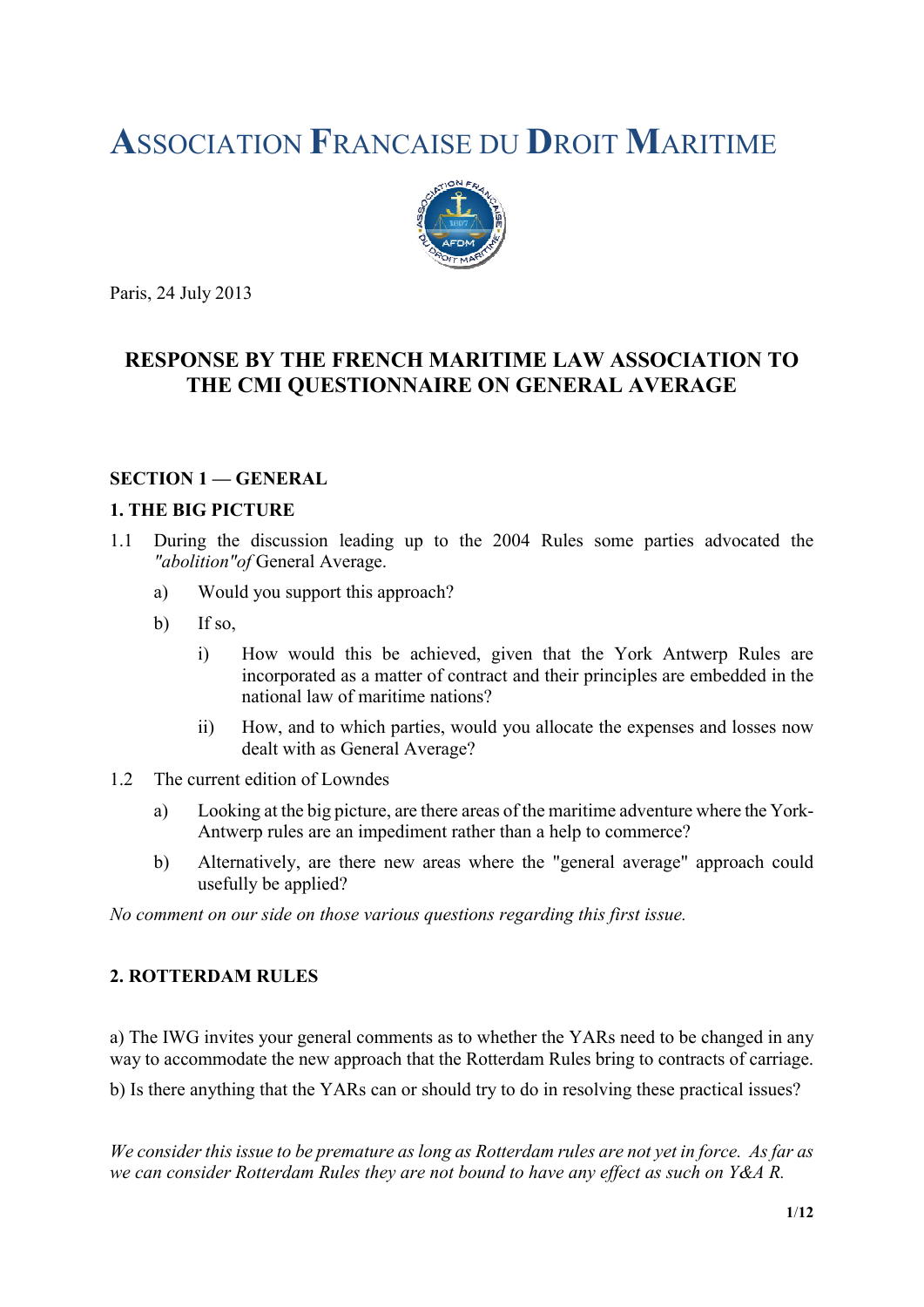# **A**SSOCIATION **F**RANCAISE DU **D**ROIT **M**ARITIME



Paris, 24 July 2013

# **RESPONSE BY THE FRENCH MARITIME LAW ASSOCIATION TO THE CMI QUESTIONNAIRE ON GENERAL AVERAGE**

#### **SECTION 1 — GENERAL**

#### **1. THE BIG PICTURE**

- 1.1 During the discussion leading up to the 2004 Rules some parties advocated the *"abolition"of* General Average.
	- a) Would you support this approach?
	- b) If so,
		- i) How would this be achieved, given that the York Antwerp Rules are incorporated as a matter of contract and their principles are embedded in the national law of maritime nations?
		- ii) How, and to which parties, would you allocate the expenses and losses now dealt with as General Average?
- 1.2 The current edition of Lowndes
	- a) Looking at the big picture, are there areas of the maritime adventure where the York-Antwerp rules are an impediment rather than a help to commerce?
	- b) Alternatively, are there new areas where the "general average" approach could usefully be applied?

*No comment on our side on those various questions regarding this first issue.*

#### **2. ROTTERDAM RULES**

a) The IWG invites your general comments as to whether the YARs need to be changed in any way to accommodate the new approach that the Rotterdam Rules bring to contracts of carriage.

b) Is there anything that the YARs can or should try to do in resolving these practical issues?

*We consider this issue to be premature as long as Rotterdam rules are not yet in force. As far as we can consider Rotterdam Rules they are not bound to have any effect as such on Y&A R.*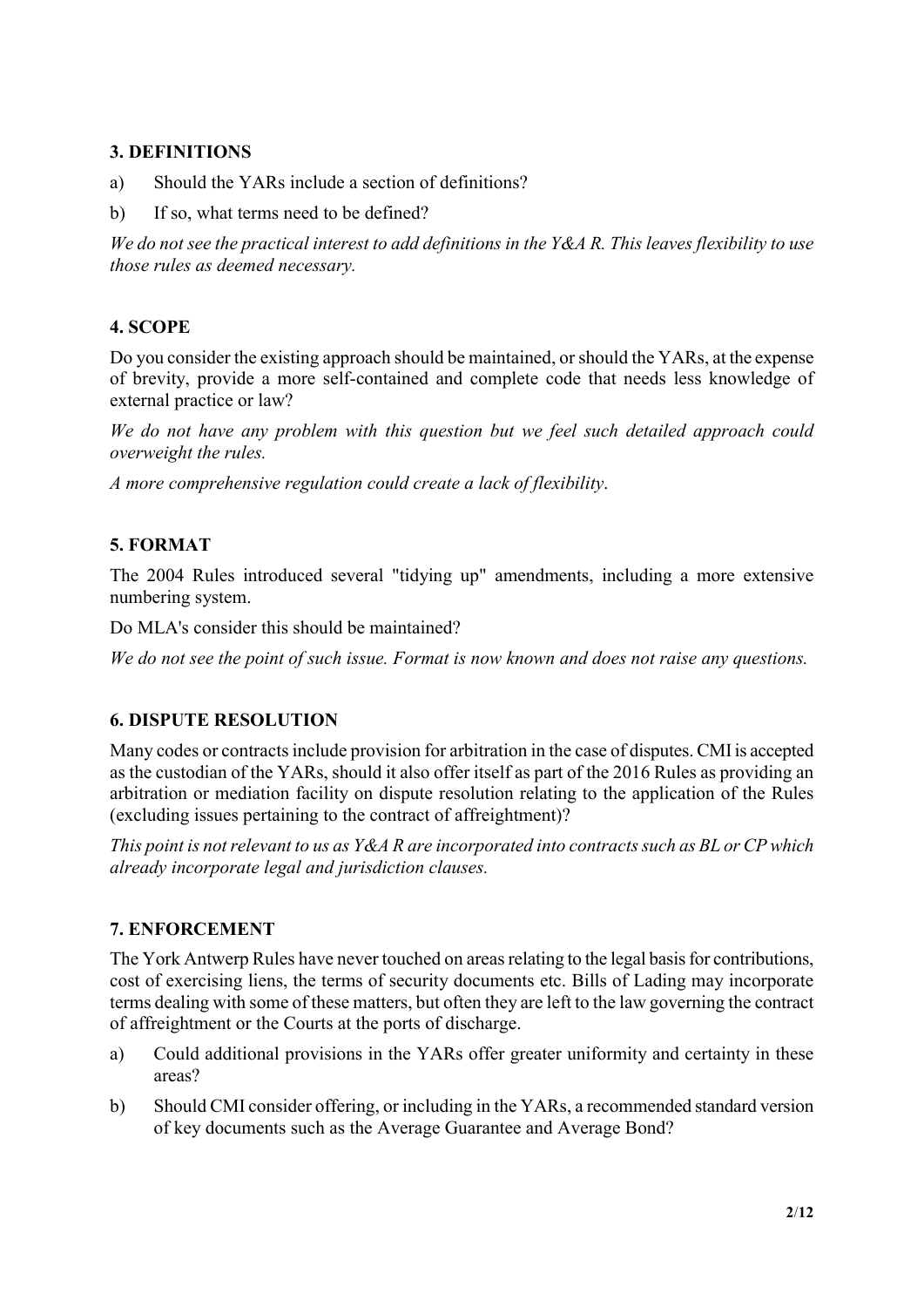# **3. DEFINITIONS**

- a) Should the YARs include a section of definitions?
- b) If so, what terms need to be defined?

*We do not see the practical interest to add definitions in the Y&A R. This leaves flexibility to use those rules as deemed necessary.* 

# **4. SCOPE**

Do you consider the existing approach should be maintained, or should the YARs, at the expense of brevity, provide a more self-contained and complete code that needs less knowledge of external practice or law?

*We do not have any problem with this question but we feel such detailed approach could overweight the rules.*

*A more comprehensive regulation could create a lack of flexibility*.

# **5. FORMAT**

The 2004 Rules introduced several "tidying up" amendments, including a more extensive numbering system.

Do MLA's consider this should be maintained?

*We do not see the point of such issue. Format is now known and does not raise any questions.*

# **6. DISPUTE RESOLUTION**

Many codes or contracts include provision for arbitration in the case of disputes. CMI is accepted as the custodian of the YARs, should it also offer itself as part of the 2016 Rules as providing an arbitration or mediation facility on dispute resolution relating to the application of the Rules (excluding issues pertaining to the contract of affreightment)?

*This point is not relevant to us as Y&A R are incorporated into contracts such as BL or CP which already incorporate legal and jurisdiction clauses.*

# **7. ENFORCEMENT**

The York Antwerp Rules have never touched on areas relating to the legal basis for contributions, cost of exercising liens, the terms of security documents etc. Bills of Lading may incorporate terms dealing with some of these matters, but often they are left to the law governing the contract of affreightment or the Courts at the ports of discharge.

- a) Could additional provisions in the YARs offer greater uniformity and certainty in these areas?
- b) Should CMI consider offering, or including in the YARs, a recommended standard version of key documents such as the Average Guarantee and Average Bond?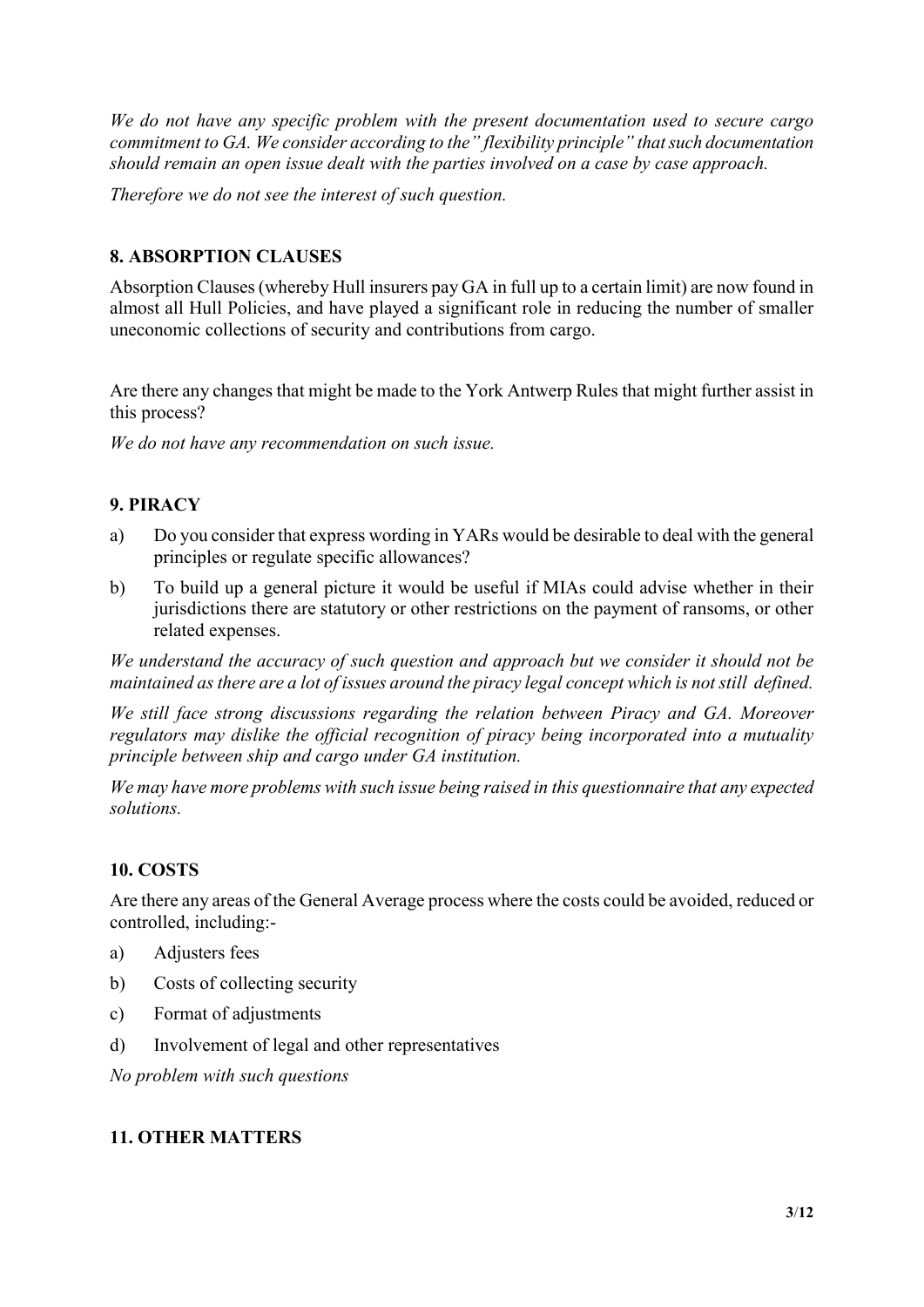*We do not have any specific problem with the present documentation used to secure cargo commitment to GA. We consider according to the" flexibility principle" that such documentation should remain an open issue dealt with the parties involved on a case by case approach.* 

*Therefore we do not see the interest of such question.*

# **8. ABSORPTION CLAUSES**

Absorption Clauses (whereby Hull insurers pay GA in full up to a certain limit) are now found in almost all Hull Policies, and have played a significant role in reducing the number of smaller uneconomic collections of security and contributions from cargo.

Are there any changes that might be made to the York Antwerp Rules that might further assist in this process?

*We do not have any recommendation on such issue.*

# **9. PIRACY**

- a) Do you consider that express wording in YARs would be desirable to deal with the general principles or regulate specific allowances?
- b) To build up a general picture it would be useful if MIAs could advise whether in their jurisdictions there are statutory or other restrictions on the payment of ransoms, or other related expenses.

*We understand the accuracy of such question and approach but we consider it should not be maintained as there are a lot of issues around the piracy legal concept which is not still defined.*

*We still face strong discussions regarding the relation between Piracy and GA. Moreover regulators may dislike the official recognition of piracy being incorporated into a mutuality principle between ship and cargo under GA institution.*

*We may have more problems with such issue being raised in this questionnaire that any expected solutions.*

# **10. COSTS**

Are there any areas of the General Average process where the costs could be avoided, reduced or controlled, including:-

- a) Adjusters fees
- b) Costs of collecting security
- c) Format of adjustments
- d) Involvement of legal and other representatives

*No problem with such questions*

#### **11. OTHER MATTERS**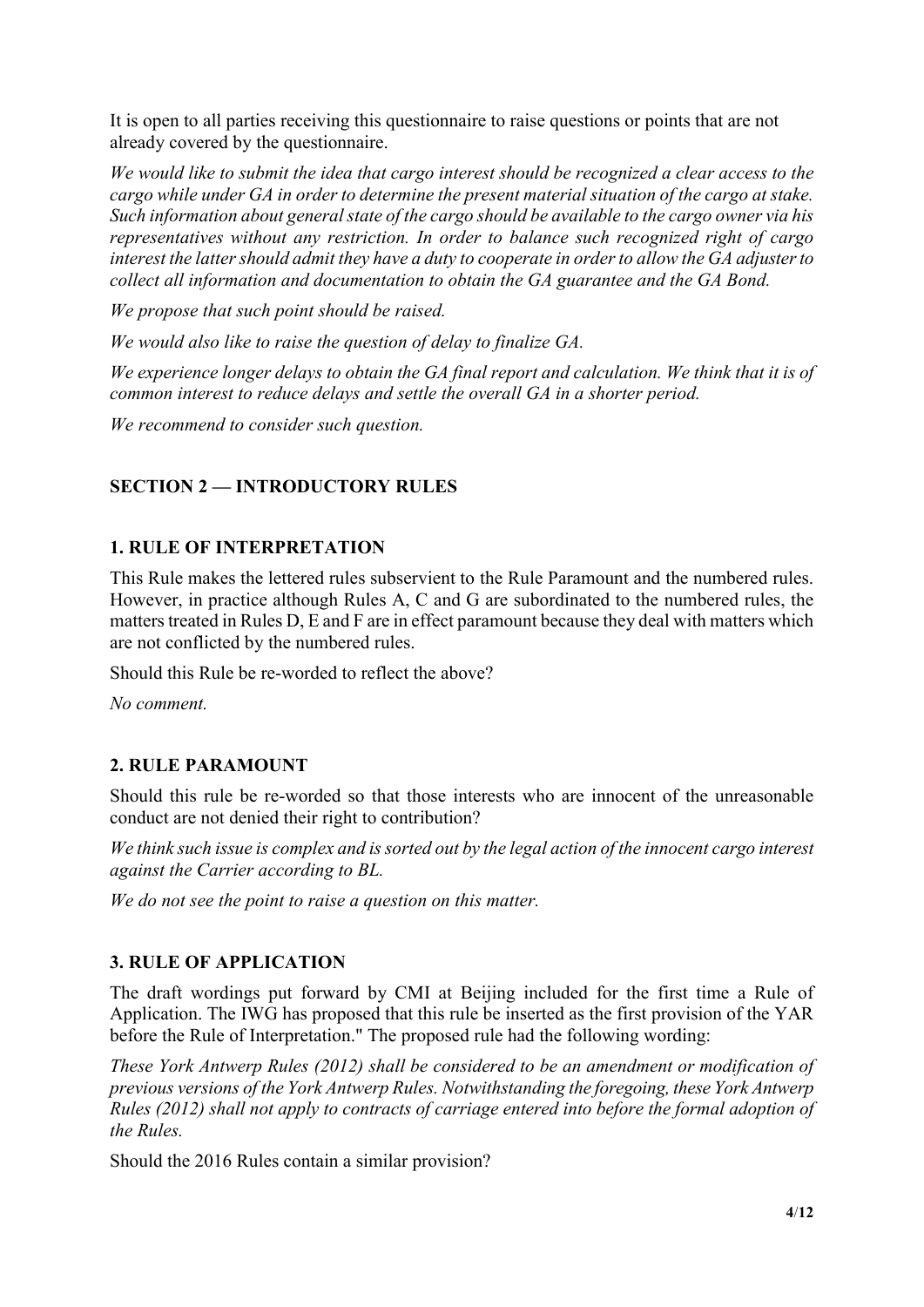It is open to all parties receiving this questionnaire to raise questions or points that are not already covered by the questionnaire.

*We would like to submit the idea that cargo interest should be recognized a clear access to the cargo while under GA in order to determine the present material situation of the cargo at stake. Such information about general state of the cargo should be available to the cargo owner via his representatives without any restriction. In order to balance such recognized right of cargo interest the latter should admit they have a duty to cooperate in order to allow the GA adjuster to collect all information and documentation to obtain the GA guarantee and the GA Bond.*

*We propose that such point should be raised.*

*We would also like to raise the question of delay to finalize GA.*

*We experience longer delays to obtain the GA final report and calculation. We think that it is of common interest to reduce delays and settle the overall GA in a shorter period.* 

*We recommend to consider such question.*

# **SECTION 2 — INTRODUCTORY RULES**

# **1. RULE OF INTERPRETATION**

This Rule makes the lettered rules subservient to the Rule Paramount and the numbered rules. However, in practice although Rules A, C and G are subordinated to the numbered rules, the matters treated in Rules D, E and F are in effect paramount because they deal with matters which are not conflicted by the numbered rules.

Should this Rule be re-worded to reflect the above?

*No comment.*

# **2. RULE PARAMOUNT**

Should this rule be re-worded so that those interests who are innocent of the unreasonable conduct are not denied their right to contribution?

*We think such issue is complex and is sorted out by the legal action of the innocent cargo interest against the Carrier according to BL.*

*We do not see the point to raise a question on this matter.*

# **3. RULE OF APPLICATION**

The draft wordings put forward by CMI at Beijing included for the first time a Rule of Application. The IWG has proposed that this rule be inserted as the first provision of the YAR before the Rule of Interpretation." The proposed rule had the following wording:

*These York Antwerp Rules (2012) shall be considered to be an amendment or modification of previous versions of the York Antwerp Rules. Notwithstanding the foregoing, these York Antwerp Rules (2012) shall not apply to contracts of carriage entered into before the formal adoption of the Rules.*

Should the 2016 Rules contain a similar provision?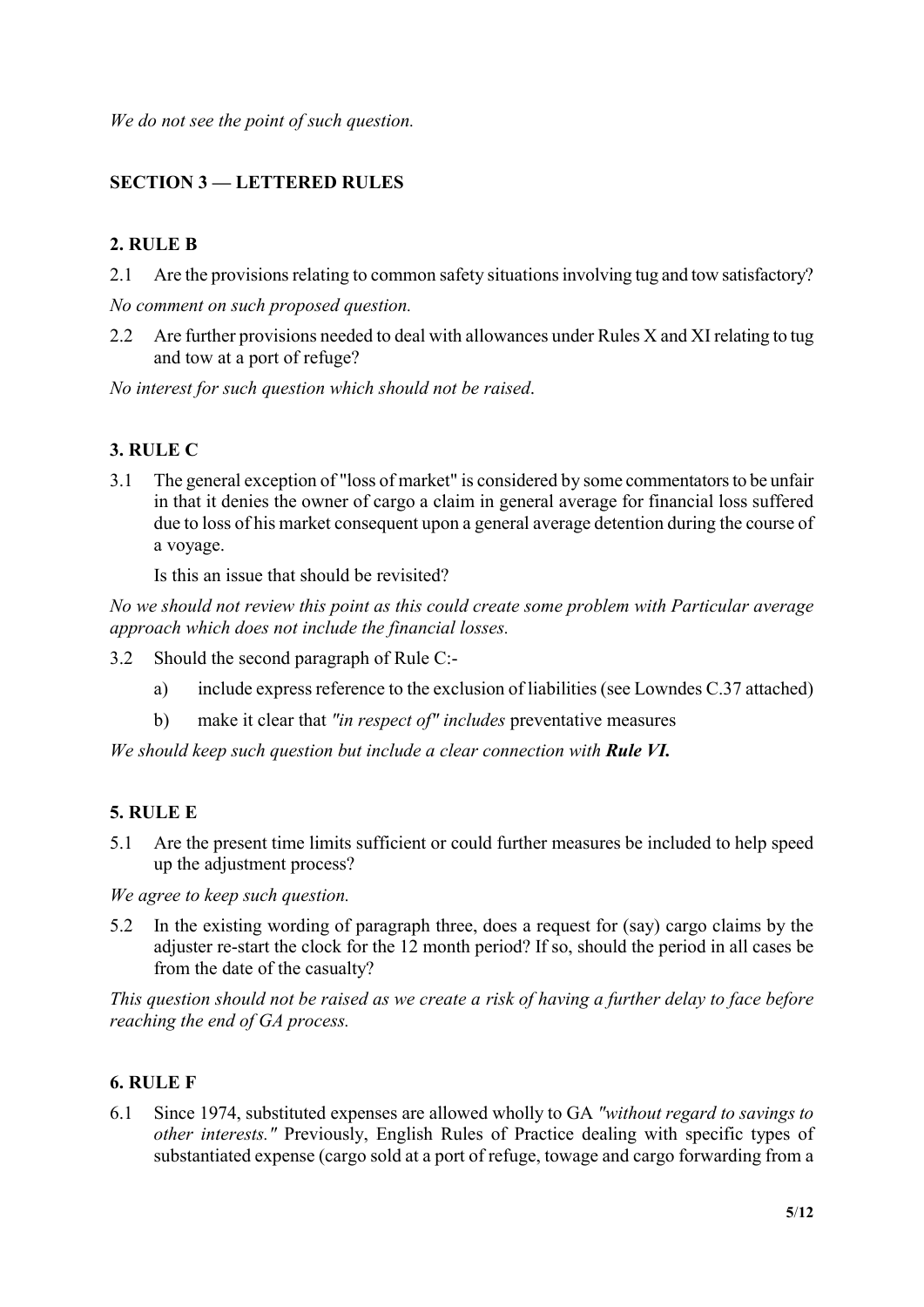*We do not see the point of such question.*

# **SECTION 3 — LETTERED RULES**

# **2. RULE B**

2.1 Are the provisions relating to common safety situations involving tug and tow satisfactory?

*No comment on such proposed question.*

2.2 Are further provisions needed to deal with allowances under Rules X and XI relating to tug and tow at a port of refuge?

*No interest for such question which should not be raised*.

# **3. RULE C**

3.1 The general exception of "loss of market" is considered by some commentators to be unfair in that it denies the owner of cargo a claim in general average for financial loss suffered due to loss of his market consequent upon a general average detention during the course of a voyage.

Is this an issue that should be revisited?

*No we should not review this point as this could create some problem with Particular average approach which does not include the financial losses.*

- 3.2 Should the second paragraph of Rule C:
	- a) include express reference to the exclusion of liabilities (see Lowndes C.37 attached)
	- b) make it clear that *"in respect of" includes* preventative measures

*We should keep such question but include a clear connection with Rule VI.*

# **5. RULE E**

5.1 Are the present time limits sufficient or could further measures be included to help speed up the adjustment process?

*We agree to keep such question.*

5.2 In the existing wording of paragraph three, does a request for (say) cargo claims by the adjuster re-start the clock for the 12 month period? If so, should the period in all cases be from the date of the casualty?

*This question should not be raised as we create a risk of having a further delay to face before reaching the end of GA process.*

# **6. RULE F**

6.1 Since 1974, substituted expenses are allowed wholly to GA *"without regard to savings to other interests."* Previously, English Rules of Practice dealing with specific types of substantiated expense (cargo sold at a port of refuge, towage and cargo forwarding from a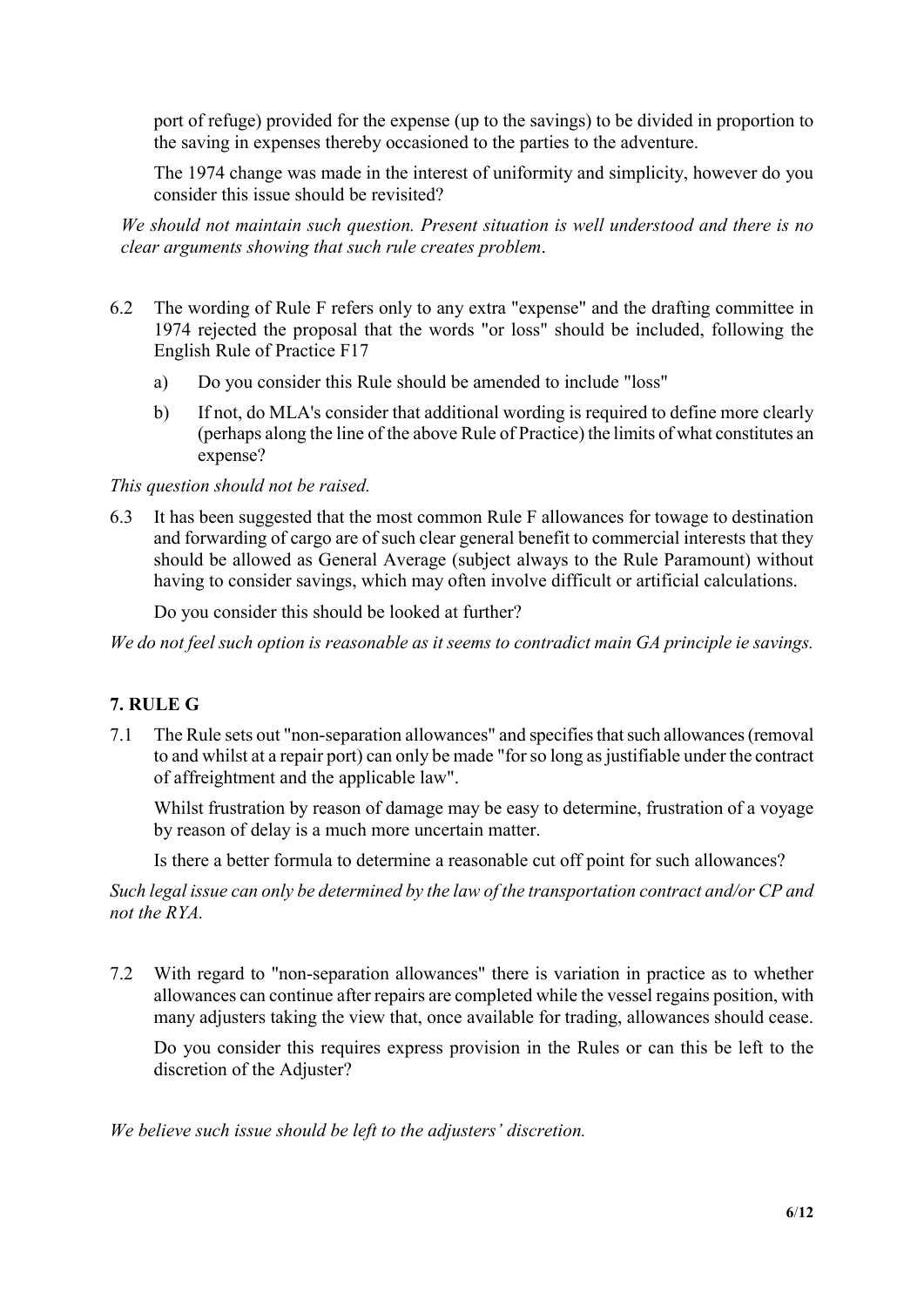port of refuge) provided for the expense (up to the savings) to be divided in proportion to the saving in expenses thereby occasioned to the parties to the adventure.

The 1974 change was made in the interest of uniformity and simplicity, however do you consider this issue should be revisited?

*We should not maintain such question. Present situation is well understood and there is no clear arguments showing that such rule creates problem*.

- 6.2 The wording of Rule F refers only to any extra "expense" and the drafting committee in 1974 rejected the proposal that the words "or loss" should be included, following the English Rule of Practice F17
	- a) Do you consider this Rule should be amended to include "loss"
	- b) If not, do MLA's consider that additional wording is required to define more clearly (perhaps along the line of the above Rule of Practice) the limits of what constitutes an expense?

#### *This question should not be raised.*

6.3 It has been suggested that the most common Rule F allowances for towage to destination and forwarding of cargo are of such clear general benefit to commercial interests that they should be allowed as General Average (subject always to the Rule Paramount) without having to consider savings, which may often involve difficult or artificial calculations.

Do you consider this should be looked at further?

*We do not feel such option is reasonable as it seems to contradict main GA principle ie savings.*

# **7. RULE G**

7.1 The Rule sets out "non-separation allowances" and specifies that such allowances (removal to and whilst at a repair port) can only be made "for so long as justifiable under the contract of affreightment and the applicable law".

Whilst frustration by reason of damage may be easy to determine, frustration of a voyage by reason of delay is a much more uncertain matter.

Is there a better formula to determine a reasonable cut off point for such allowances?

*Such legal issue can only be determined by the law of the transportation contract and/or CP and not the RYA.*

7.2 With regard to "non-separation allowances" there is variation in practice as to whether allowances can continue after repairs are completed while the vessel regains position, with many adjusters taking the view that, once available for trading, allowances should cease.

Do you consider this requires express provision in the Rules or can this be left to the discretion of the Adjuster?

*We believe such issue should be left to the adjusters' discretion.*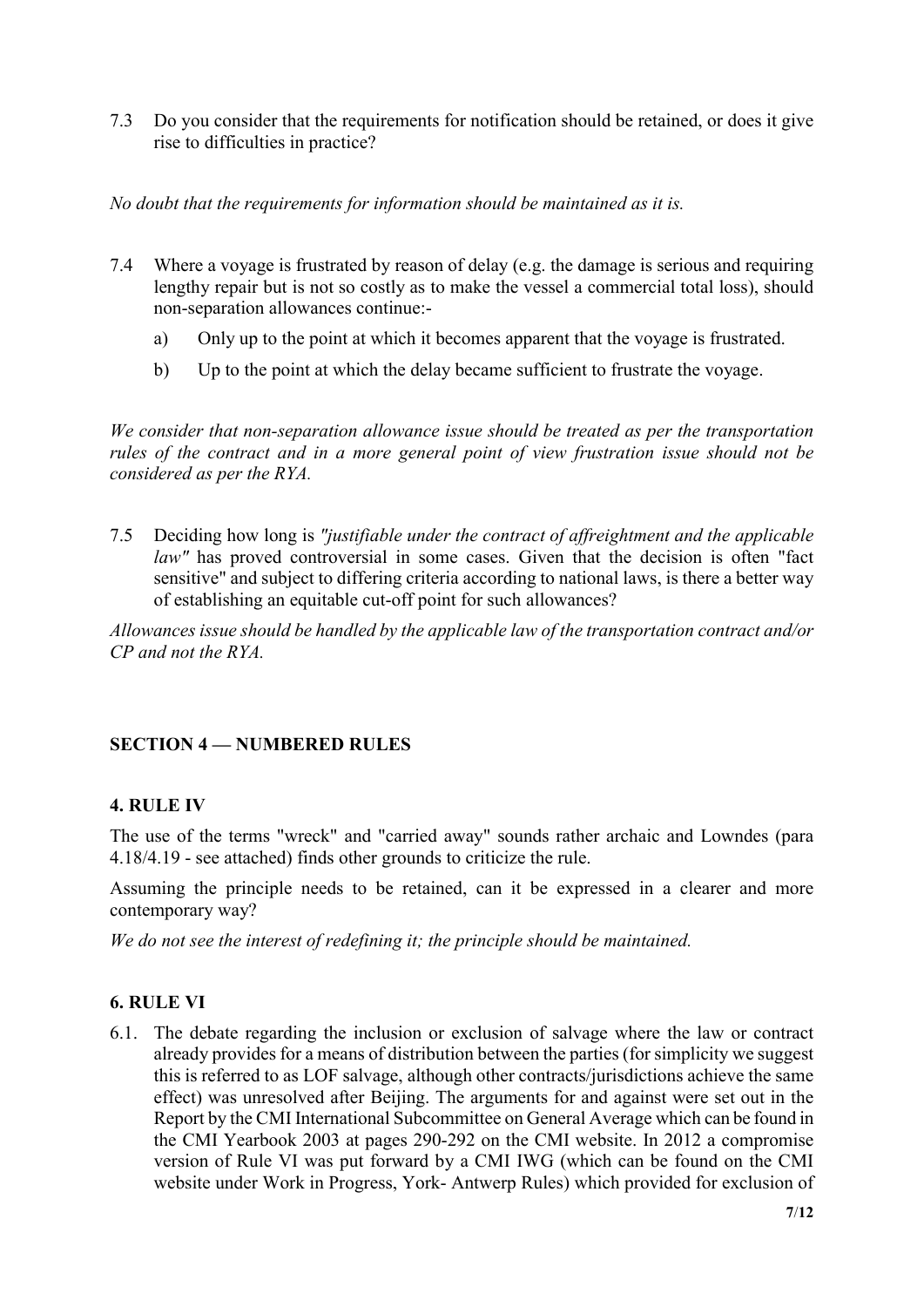7.3 Do you consider that the requirements for notification should be retained, or does it give rise to difficulties in practice?

#### *No doubt that the requirements for information should be maintained as it is.*

- 7.4 Where a voyage is frustrated by reason of delay (e.g. the damage is serious and requiring lengthy repair but is not so costly as to make the vessel a commercial total loss), should non-separation allowances continue:
	- a) Only up to the point at which it becomes apparent that the voyage is frustrated.
	- b) Up to the point at which the delay became sufficient to frustrate the voyage.

*We consider that non-separation allowance issue should be treated as per the transportation rules of the contract and in a more general point of view frustration issue should not be considered as per the RYA.*

7.5 Deciding how long is *"justifiable under the contract of affreightment and the applicable law"* has proved controversial in some cases. Given that the decision is often "fact sensitive" and subject to differing criteria according to national laws, is there a better way of establishing an equitable cut-off point for such allowances?

*Allowances issue should be handled by the applicable law of the transportation contract and/or CP and not the RYA.*

# **SECTION 4 — NUMBERED RULES**

# **4. RULE IV**

The use of the terms "wreck" and "carried away" sounds rather archaic and Lowndes (para 4.18/4.19 - see attached) finds other grounds to criticize the rule.

Assuming the principle needs to be retained, can it be expressed in a clearer and more contemporary way?

*We do not see the interest of redefining it; the principle should be maintained.*

# **6. RULE VI**

6.1. The debate regarding the inclusion or exclusion of salvage where the law or contract already provides for a means of distribution between the parties (for simplicity we suggest this is referred to as LOF salvage, although other contracts/jurisdictions achieve the same effect) was unresolved after Beijing. The arguments for and against were set out in the Report by the CMI International Subcommittee on General Average which can be found in the CMI Yearbook 2003 at pages 290-292 on the CMI website. In 2012 a compromise version of Rule VI was put forward by a CMI IWG (which can be found on the CMI website under Work in Progress, York- Antwerp Rules) which provided for exclusion of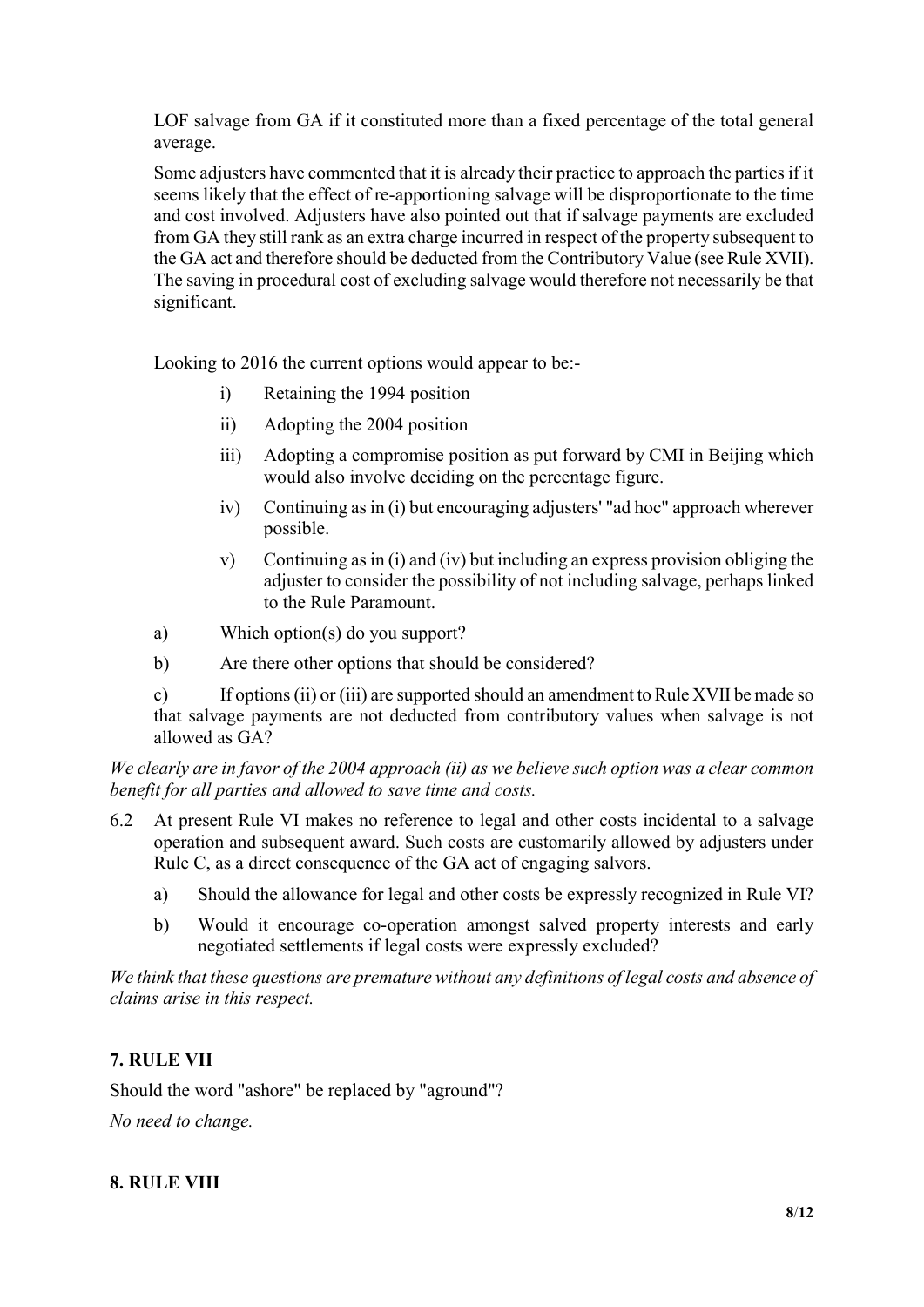LOF salvage from GA if it constituted more than a fixed percentage of the total general average.

Some adjusters have commented that it is already their practice to approach the parties if it seems likely that the effect of re-apportioning salvage will be disproportionate to the time and cost involved. Adjusters have also pointed out that if salvage payments are excluded from GA they still rank as an extra charge incurred in respect of the property subsequent to the GA act and therefore should be deducted from the Contributory Value (see Rule XVII). The saving in procedural cost of excluding salvage would therefore not necessarily be that significant.

Looking to 2016 the current options would appear to be:-

- i) Retaining the 1994 position
- ii) Adopting the 2004 position
- iii) Adopting a compromise position as put forward by CMI in Beijing which would also involve deciding on the percentage figure.
- iv) Continuing as in (i) but encouraging adjusters' "ad hoc" approach wherever possible.
- v) Continuing as in (i) and (iv) but including an express provision obliging the adjuster to consider the possibility of not including salvage, perhaps linked to the Rule Paramount.
- a) Which option(s) do you support?
- b) Are there other options that should be considered?

c) If options (ii) or (iii) are supported should an amendment to Rule XVII be made so that salvage payments are not deducted from contributory values when salvage is not allowed as GA?

*We clearly are in favor of the 2004 approach (ii) as we believe such option was a clear common benefit for all parties and allowed to save time and costs.*

- 6.2 At present Rule VI makes no reference to legal and other costs incidental to a salvage operation and subsequent award. Such costs are customarily allowed by adjusters under Rule C, as a direct consequence of the GA act of engaging salvors.
	- a) Should the allowance for legal and other costs be expressly recognized in Rule VI?
	- b) Would it encourage co-operation amongst salved property interests and early negotiated settlements if legal costs were expressly excluded?

*We think that these questions are premature without any definitions of legal costs and absence of claims arise in this respect.*

# **7. RULE VII**

Should the word "ashore" be replaced by "aground"?

*No need to change.*

# **8. RULE VIII**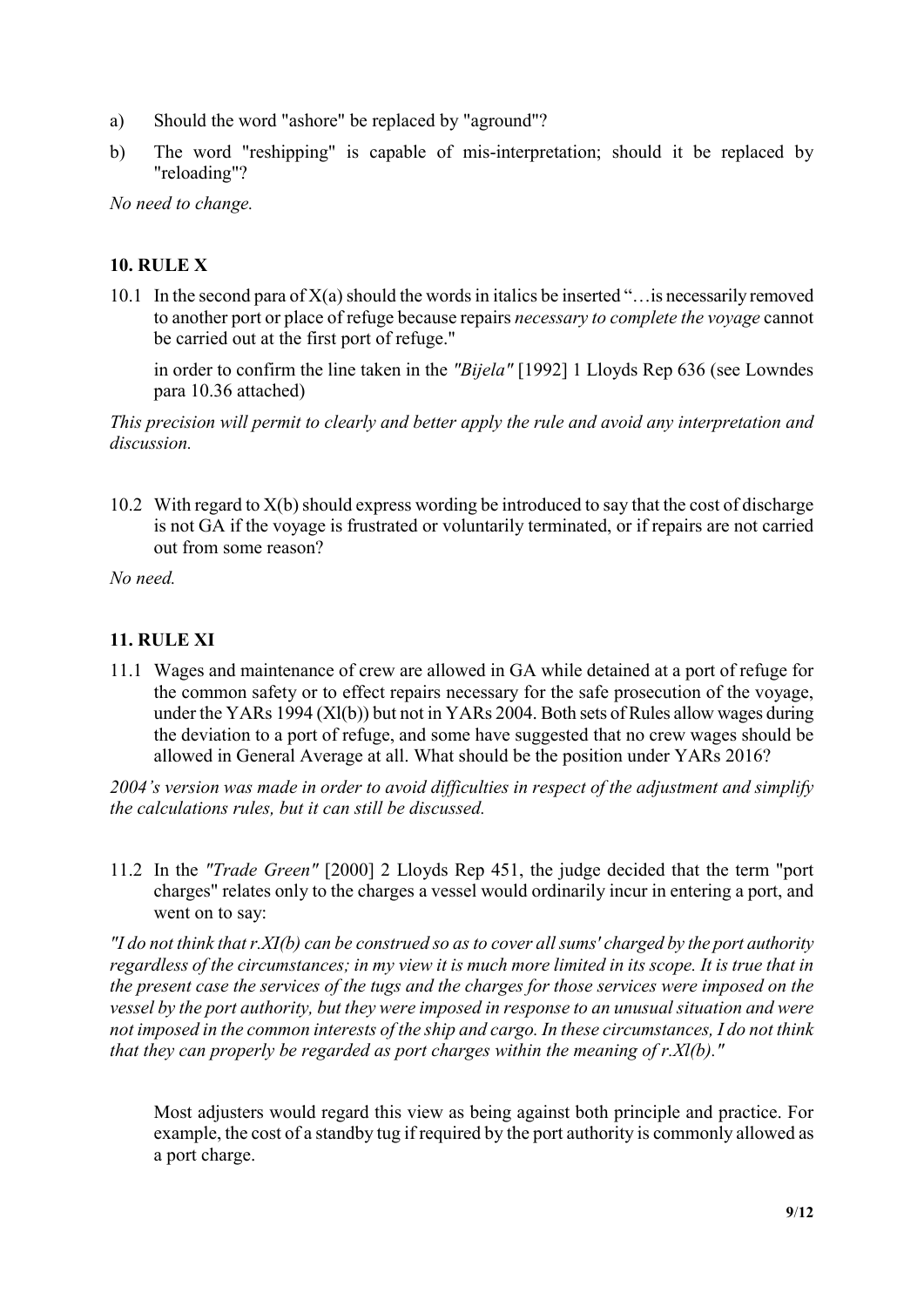- a) Should the word "ashore" be replaced by "aground"?
- b) The word "reshipping" is capable of mis-interpretation; should it be replaced by "reloading"?

*No need to change.*

# **10. RULE X**

10.1 In the second para of  $X(a)$  should the words in italics be inserted "... is necessarily removed to another port or place of refuge because repairs *necessary to complete the voyage* cannot be carried out at the first port of refuge."

in order to confirm the line taken in the *"Bijela"* [1992] 1 Lloyds Rep 636 (see Lowndes para 10.36 attached)

*This precision will permit to clearly and better apply the rule and avoid any interpretation and discussion.*

10.2 With regard to  $X(b)$  should express wording be introduced to say that the cost of discharge is not GA if the voyage is frustrated or voluntarily terminated, or if repairs are not carried out from some reason?

*No need.*

# **11. RULE XI**

11.1 Wages and maintenance of crew are allowed in GA while detained at a port of refuge for the common safety or to effect repairs necessary for the safe prosecution of the voyage, under the YARs 1994 (Xl(b)) but not in YARs 2004. Both sets of Rules allow wages during the deviation to a port of refuge, and some have suggested that no crew wages should be allowed in General Average at all. What should be the position under YARs 2016?

*2004's version was made in order to avoid difficulties in respect of the adjustment and simplify the calculations rules, but it can still be discussed.*

11.2 In the *"Trade Green"* [2000] 2 Lloyds Rep 451, the judge decided that the term "port charges" relates only to the charges a vessel would ordinarily incur in entering a port, and went on to say:

*"I do not think that r.XI(b) can be construed so as to cover all sums' charged by the port authority regardless of the circumstances; in my view it is much more limited in its scope. It is true that in the present case the services of the tugs and the charges for those services were imposed on the vessel by the port authority, but they were imposed in response to an unusual situation and were not imposed in the common interests of the ship and cargo. In these circumstances, I do not think that they can properly be regarded as port charges within the meaning of r.Xl(b)."*

Most adjusters would regard this view as being against both principle and practice. For example, the cost of a standby tug if required by the port authority is commonly allowed as a port charge.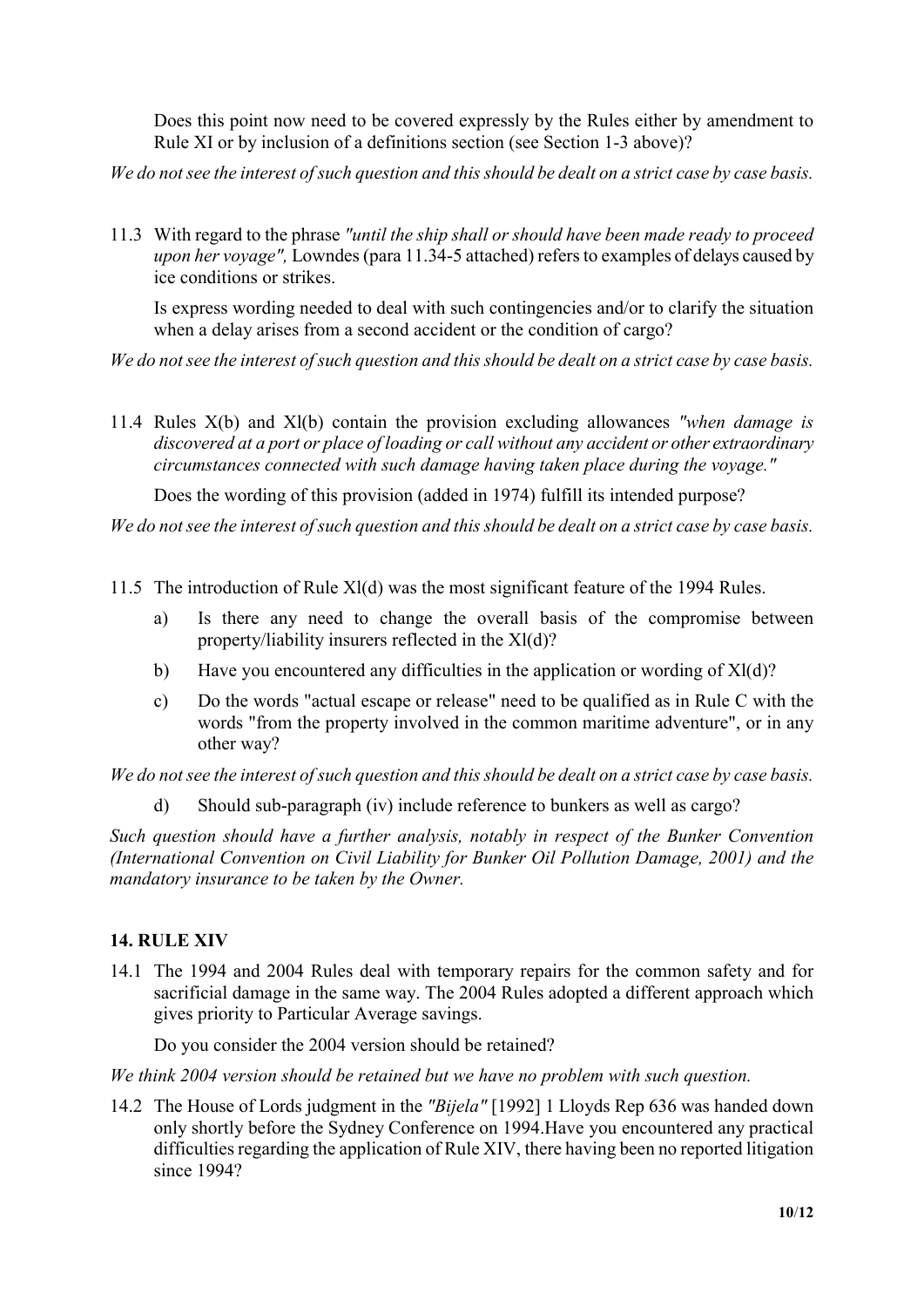Does this point now need to be covered expressly by the Rules either by amendment to Rule XI or by inclusion of a definitions section (see Section 1-3 above)?

*We do not see the interest of such question and this should be dealt on a strict case by case basis.*

11.3 With regard to the phrase *"until the ship shall or should have been made ready to proceed upon her voyage",* Lowndes (para 11.34-5 attached) refers to examples of delays caused by ice conditions or strikes.

Is express wording needed to deal with such contingencies and/or to clarify the situation when a delay arises from a second accident or the condition of cargo?

*We do not see the interest of such question and this should be dealt on a strict case by case basis.*

11.4 Rules X(b) and Xl(b) contain the provision excluding allowances *"when damage is discovered at a port or place of loading or call without any accident or other extraordinary circumstances connected with such damage having taken place during the voyage."*

Does the wording of this provision (added in 1974) fulfill its intended purpose?

*We do not see the interest of such question and this should be dealt on a strict case by case basis.*

11.5 The introduction of Rule Xl(d) was the most significant feature of the 1994 Rules.

- a) Is there any need to change the overall basis of the compromise between property/liability insurers reflected in the Xl(d)?
- b) Have you encountered any difficulties in the application or wording of Xl(d)?
- c) Do the words "actual escape or release" need to be qualified as in Rule C with the words "from the property involved in the common maritime adventure", or in any other way?

*We do not see the interest of such question and this should be dealt on a strict case by case basis.*

d) Should sub-paragraph (iv) include reference to bunkers as well as cargo?

*Such question should have a further analysis, notably in respect of the Bunker Convention (International Convention on Civil Liability for Bunker Oil Pollution Damage, 2001) and the mandatory insurance to be taken by the Owner.*

# **14. RULE XIV**

14.1 The 1994 and 2004 Rules deal with temporary repairs for the common safety and for sacrificial damage in the same way. The 2004 Rules adopted a different approach which gives priority to Particular Average savings.

Do you consider the 2004 version should be retained?

*We think 2004 version should be retained but we have no problem with such question.*

14.2 The House of Lords judgment in the *"Bijela"* [1992] 1 Lloyds Rep 636 was handed down only shortly before the Sydney Conference on 1994.Have you encountered any practical difficulties regarding the application of Rule XIV, there having been no reported litigation since 1994?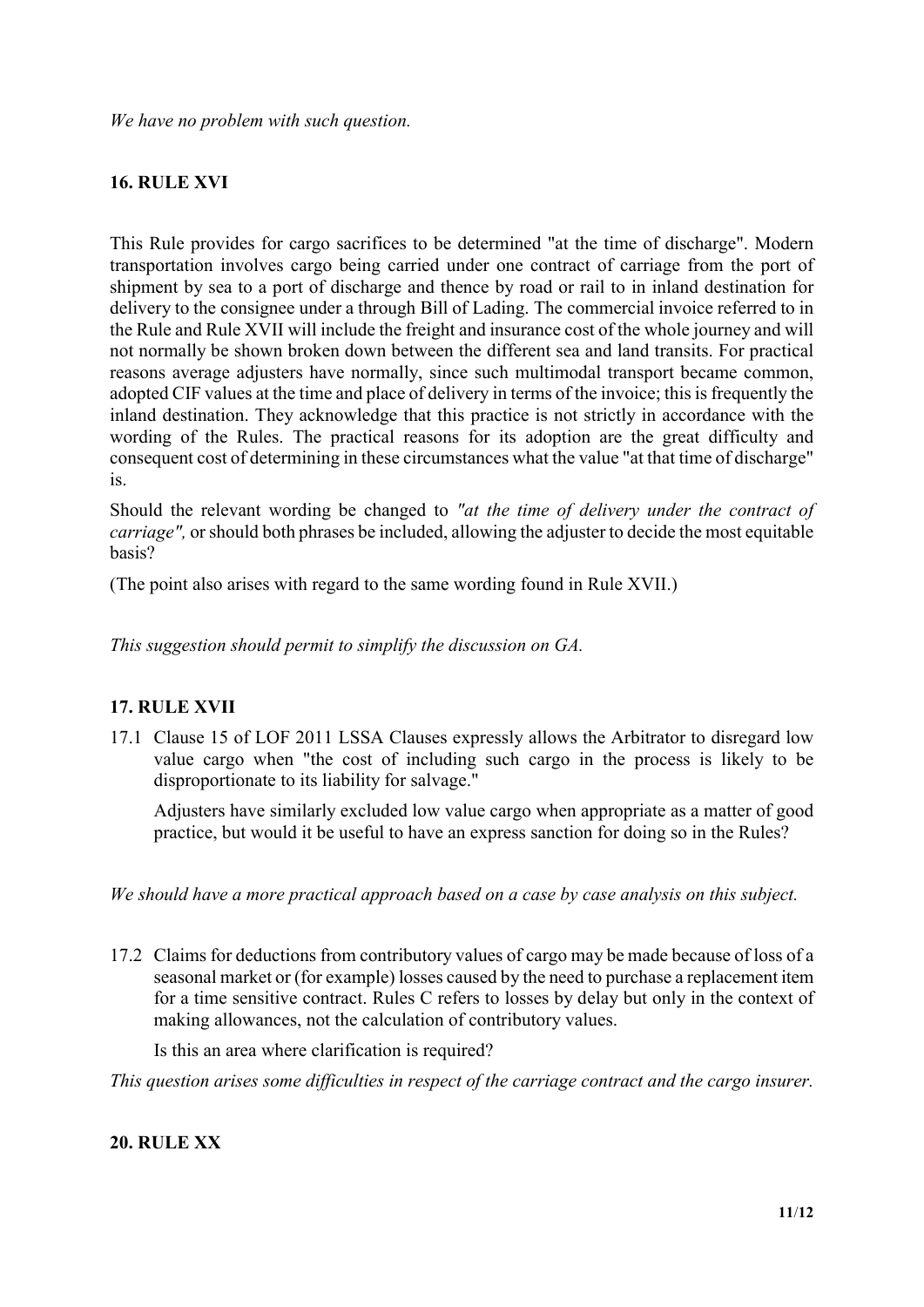# **16. RULE XVI**

This Rule provides for cargo sacrifices to be determined "at the time of discharge". Modern transportation involves cargo being carried under one contract of carriage from the port of shipment by sea to a port of discharge and thence by road or rail to in inland destination for delivery to the consignee under a through Bill of Lading. The commercial invoice referred to in the Rule and Rule XVII will include the freight and insurance cost of the whole journey and will not normally be shown broken down between the different sea and land transits. For practical reasons average adjusters have normally, since such multimodal transport became common, adopted CIF values at the time and place of delivery in terms of the invoice; this is frequently the inland destination. They acknowledge that this practice is not strictly in accordance with the wording of the Rules. The practical reasons for its adoption are the great difficulty and consequent cost of determining in these circumstances what the value "at that time of discharge" is.

Should the relevant wording be changed to *"at the time of delivery under the contract of carriage",* or should both phrases be included, allowing the adjuster to decide the most equitable basis?

(The point also arises with regard to the same wording found in Rule XVII.)

*This suggestion should permit to simplify the discussion on GA.*

# **17. RULE XVII**

17.1 Clause 15 of LOF 2011 LSSA Clauses expressly allows the Arbitrator to disregard low value cargo when "the cost of including such cargo in the process is likely to be disproportionate to its liability for salvage."

Adjusters have similarly excluded low value cargo when appropriate as a matter of good practice, but would it be useful to have an express sanction for doing so in the Rules?

*We should have a more practical approach based on a case by case analysis on this subject.*

17.2 Claims for deductions from contributory values of cargo may be made because of loss of a seasonal market or (for example) losses caused by the need to purchase a replacement item for a time sensitive contract. Rules C refers to losses by delay but only in the context of making allowances, not the calculation of contributory values.

Is this an area where clarification is required?

*This question arises some difficulties in respect of the carriage contract and the cargo insurer.*

# **20. RULE XX**